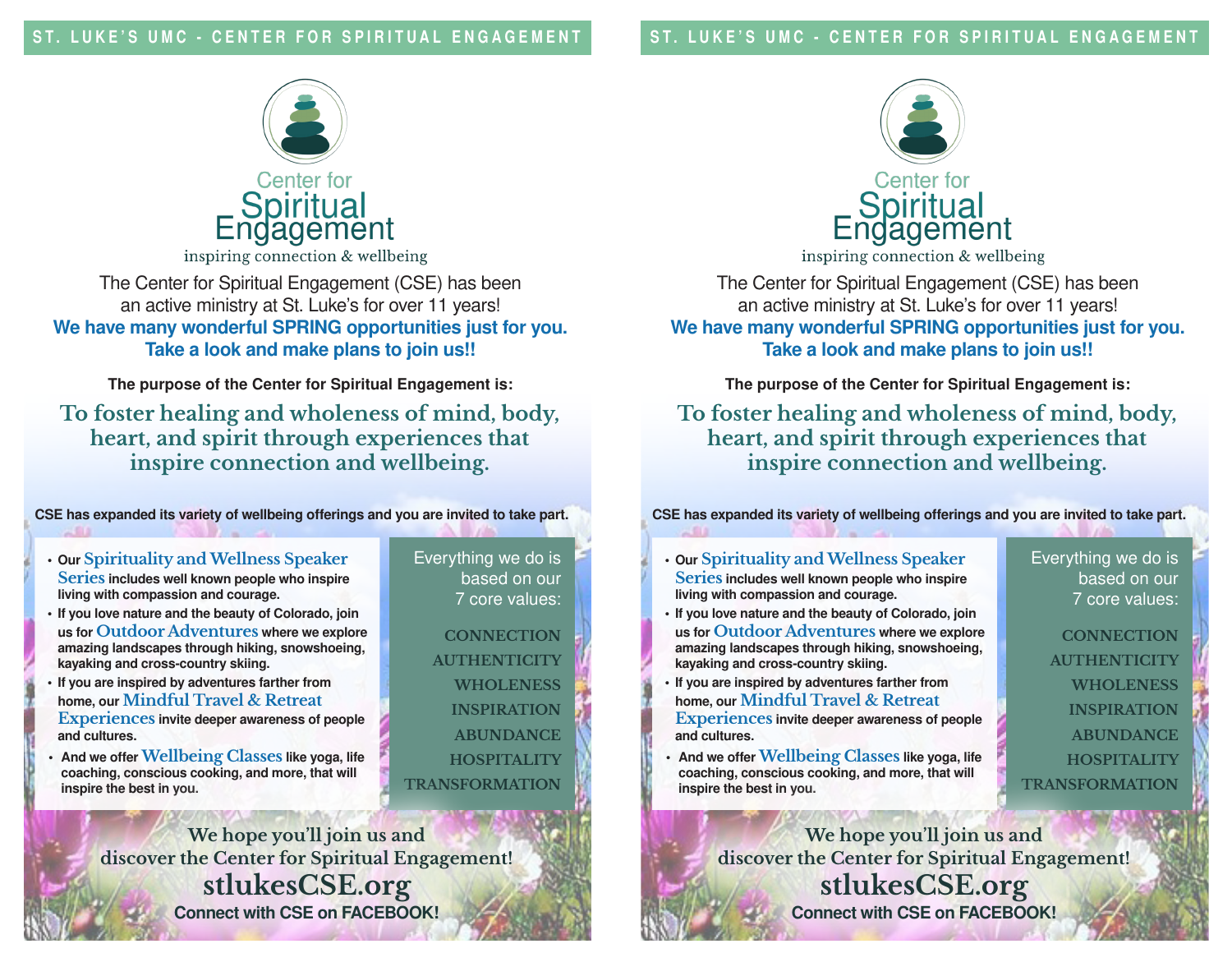ST. LUKE'S UMC - CENTER FOR SPIRITUAL ENGAGEMENT



inspiring connection & wellbeing

The Center for Spiritual Engagement (CSE) has been an active ministry at St. Luke's for over 11 years! We have many wonderful SPRING opportunities just for you. Take a look and make plans to join us!!

The purpose of the Center for Spiritual Engagement is:

**To foster healing and wholeness of mind, body, heart, and spirit through experiences that inspire connection and wellbeing.** 

CSE has expanded its variety of wellbeing offerings and you are invited to take part.

- Our **Spirituality and Wellness Speaker Series** includes well known people who inspire living with compassion and courage.
- If you love nature and the beauty of Colorado, join us for **Outdoor Adventures** where we explore amazing landscapes through hiking, snowshoeing, kayaking and cross-country skiing.
- If you are inspired by adventures farther from home, our **Mindful Travel & Retreat Experiences** invite deeper awareness of people and cultures.
- And we offer **Wellbeing Classes** like yoga, life coaching, conscious cooking, and more, that will inspire the best in you.

Everything we do is based on our 7 core values:

**CONNECTION AUTHENTICITY WHOLENESS INSPIRATION ABUNDANCE HOSPITALITY TRANSFORMATION**

**We hope you'll join us and discover the Center for Spiritual Engagement! stlukesCSE.org** Connect with CSE on FACEBOOK!